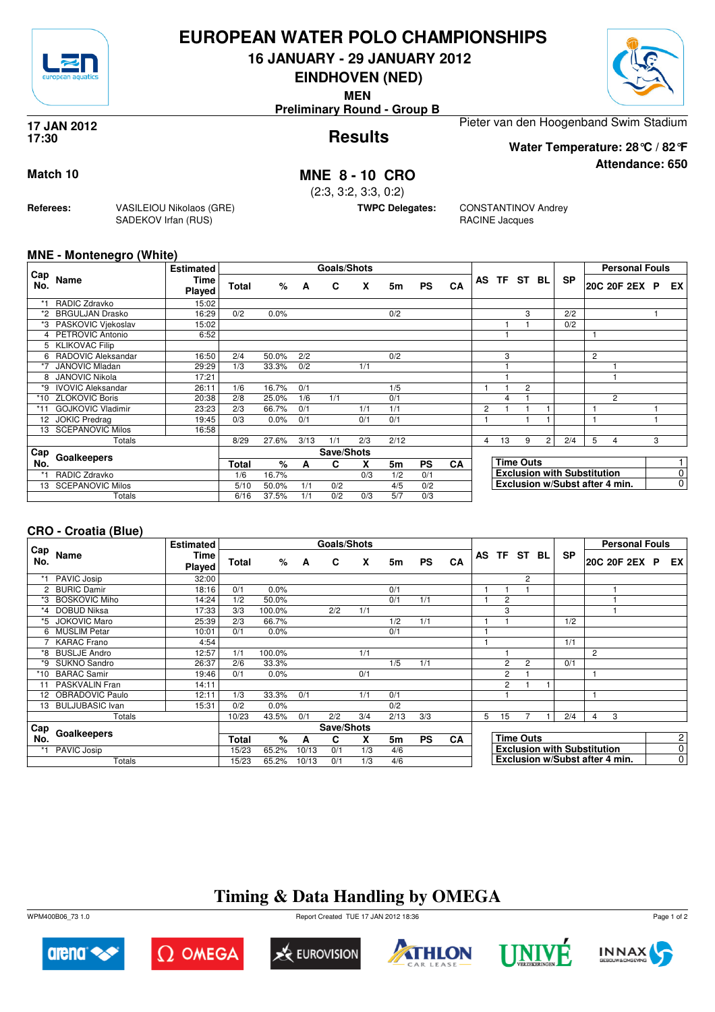

## **EUROPEAN WATER POLO CHAMPIONSHIPS**

**16 JANUARY - 29 JANUARY 2012**

**EINDHOVEN (NED)**

**MEN**

**Preliminary Round - Group B**

#### **Results 17 JAN 2012 17:30**

Pieter van den Hoogenband Swim Stadium

**Water Temperature: 28°C / 82°F**

**Attendance: 650**

## **Match 10 MNE 8 - 10 CRO**

(2:3, 3:2, 3:3, 0:2)

**TWPC Delegates:** CONSTANTINOV Andrey RACINE Jacques

#### **MNE - Montenegro (White)**

**Referees:** VASILEIOU Nikolaos (GRE)

SADEKOV Irfan (RUS)

|             |                          | <b>Estimated</b> |              |       |      | <b>Goals/Shots</b> |     |      |           |           |   |    |                  |   |                                    |                | <b>Personal Fouls</b>          |   |                |
|-------------|--------------------------|------------------|--------------|-------|------|--------------------|-----|------|-----------|-----------|---|----|------------------|---|------------------------------------|----------------|--------------------------------|---|----------------|
| ∟Cap<br>No. | Name                     | Time<br>Played   | <b>Total</b> | %     | A    | C                  | X   | 5m   | <b>PS</b> | <b>CA</b> |   |    | AS TF ST BL      |   | <b>SP</b>                          |                | 20C 20F 2EX                    | P | <b>EX</b>      |
| $*1$        | RADIC Zdravko            | 15:02            |              |       |      |                    |     |      |           |           |   |    |                  |   |                                    |                |                                |   |                |
| *2          | <b>BRGULJAN Drasko</b>   | 16:29            | 0/2          | 0.0%  |      |                    |     | 0/2  |           |           |   |    | 3                |   | 2/2                                |                |                                |   |                |
| *3          | PASKOVIC Viekoslav       | 15:02            |              |       |      |                    |     |      |           |           |   |    |                  |   | 0/2                                |                |                                |   |                |
|             | PETROVIC Antonio         | 6:52             |              |       |      |                    |     |      |           |           |   |    |                  |   |                                    |                |                                |   |                |
| 5           | <b>KLIKOVAC Filip</b>    |                  |              |       |      |                    |     |      |           |           |   |    |                  |   |                                    |                |                                |   |                |
| 6           | RADOVIC Aleksandar       | 16:50            | 2/4          | 50.0% | 2/2  |                    |     | 0/2  |           |           |   | 3  |                  |   |                                    | $\overline{2}$ |                                |   |                |
| *7          | <b>JANOVIC Mladan</b>    | 29:29            | 1/3          | 33.3% | 0/2  |                    | 1/1 |      |           |           |   |    |                  |   |                                    |                |                                |   |                |
| 8           | <b>JANOVIC Nikola</b>    | 17:21            |              |       |      |                    |     |      |           |           |   |    |                  |   |                                    |                |                                |   |                |
| *9          | <b>IVOVIC Aleksandar</b> | 26:11            | $1/\bar{6}$  | 16.7% | 0/1  |                    |     | 1/5  |           |           |   |    | $\overline{2}$   |   |                                    |                |                                |   |                |
| *10         | <b>ZLOKOVIC Boris</b>    | 20:38            | 2/8          | 25.0% | 1/6  | 1/1                |     | 0/1  |           |           |   | 4  |                  |   |                                    |                | $\overline{c}$                 |   |                |
| *11         | <b>GOJKOVIC Vladimir</b> | 23:23            | 2/3          | 66.7% | 0/1  |                    | 1/1 | 1/1  |           |           | 2 |    |                  |   |                                    |                |                                |   |                |
| 12          | <b>JOKIC Predrag</b>     | 19:45            | 0/3          | 0.0%  | 0/1  |                    | 0/1 | 0/1  |           |           |   |    |                  |   |                                    |                |                                |   |                |
| 13          | <b>SCEPANOVIC Milos</b>  | 16:58            |              |       |      |                    |     |      |           |           |   |    |                  |   |                                    |                |                                |   |                |
|             | Totals                   |                  | 8/29         | 27.6% | 3/13 | 1/1                | 2/3 | 2/12 |           |           | 4 | 13 | 9                | 2 | 2/4                                | 5              | 4                              | 3 |                |
| Cap         |                          |                  |              |       |      | Save/Shots         |     |      |           |           |   |    |                  |   |                                    |                |                                |   |                |
| No.         | Goalkeepers              |                  | Total        | %     | A    | C                  | X   | 5m   | <b>PS</b> | CA        |   |    | <b>Time Outs</b> |   |                                    |                |                                |   |                |
| *1          | RADIC Zdravko            |                  | 1/6          | 16.7% |      |                    | 0/3 | 1/2  | 0/1       |           |   |    |                  |   | <b>Exclusion with Substitution</b> |                |                                |   | 0              |
| 13          | <b>SCEPANOVIC Milos</b>  |                  | 5/10         | 50.0% | 1/1  | 0/2                |     | 4/5  | 0/2       |           |   |    |                  |   |                                    |                | Exclusion w/Subst after 4 min. |   | $\overline{0}$ |
|             | Totals                   |                  | 6/16         | 37.5% | 1/1  | 0/2                | 0/3 | 5/7  | 0/3       |           |   |    |                  |   |                                    |                |                                |   |                |

### **CRO - Croatia (Blue)**

|            |                      | <b>Estimated</b> |       |        |       | <b>Goals/Shots</b> |     |      |           |           |    |                |                  |    |           | <b>Personal Fouls</b>              |                |             |
|------------|----------------------|------------------|-------|--------|-------|--------------------|-----|------|-----------|-----------|----|----------------|------------------|----|-----------|------------------------------------|----------------|-------------|
| Cap<br>No. | Name                 | Time<br>Played   | Total | $\%$   | A     | C                  | X   | 5m   | <b>PS</b> | <b>CA</b> | AS | <b>TF</b>      | ST               | BL | <b>SP</b> | 20C 20F 2EX P EX                   |                |             |
|            | PAVIC Josip          | 32:00            |       |        |       |                    |     |      |           |           |    |                | 2                |    |           |                                    |                |             |
|            | 2 BURIC Damir        | 18:16            | 0/1   | 0.0%   |       |                    |     | 0/1  |           |           |    |                |                  |    |           |                                    |                |             |
| *3         | <b>BOSKOVIC Miho</b> | 14:24            | 1/2   | 50.0%  |       |                    |     | 0/1  | 1/1       |           |    | $\overline{2}$ |                  |    |           |                                    |                |             |
| *4         | DOBUD Niksa          | 17:33            | 3/3   | 100.0% |       | 2/2                | 1/1 |      |           |           |    | 3              |                  |    |           |                                    |                |             |
| *5         | <b>JOKOVIC Maro</b>  | 25:39            | 2/3   | 66.7%  |       |                    |     | 1/2  | 1/1       |           |    |                |                  |    | 1/2       |                                    |                |             |
| 6          | <b>MUSLIM Petar</b>  | 10:01            | 0/1   | 0.0%   |       |                    |     | 0/1  |           |           |    |                |                  |    |           |                                    |                |             |
|            | <b>KARAC</b> Frano   | 4:54             |       |        |       |                    |     |      |           |           |    |                |                  |    | 1/1       |                                    |                |             |
| *8         | <b>BUSLJE Andro</b>  | 12:57            | 1/1   | 100.0% |       |                    | 1/1 |      |           |           |    |                |                  |    |           | $\overline{c}$                     |                |             |
| *9         | SUKNO Sandro         | 26:37            | 2/6   | 33.3%  |       |                    |     | 1/5  | 1/1       |           |    | $\overline{2}$ | $\overline{2}$   |    | 0/1       |                                    |                |             |
| *10        | <b>BARAC Samir</b>   | 19:46            | 0/1   | 0.0%   |       |                    | 0/1 |      |           |           |    | $\overline{2}$ |                  |    |           |                                    |                |             |
| 11         | PASKVALIN Fran       | 14:11            |       |        |       |                    |     |      |           |           |    | $\overline{c}$ |                  |    |           |                                    |                |             |
| 12         | OBRADOVIC Paulo      | 12:11            | 1/3   | 33.3%  | 0/1   |                    | 1/1 | 0/1  |           |           |    |                |                  |    |           |                                    |                |             |
|            | 13 BULJUBASIC Ivan   | 15:31            | 0/2   | 0.0%   |       |                    |     | 0/2  |           |           |    |                |                  |    |           |                                    |                |             |
|            | Totals               |                  | 10/23 | 43.5%  | 0/1   | 2/2                | 3/4 | 2/13 | 3/3       |           | 5  | 15             |                  |    | 2/4       | 3<br>4                             |                |             |
| Cap        |                      |                  |       |        |       | Save/Shots         |     |      |           |           |    |                |                  |    |           |                                    |                |             |
| No.        | Goalkeepers          |                  | Total | %      | A     | C                  | X   | 5m   | <b>PS</b> | <b>CA</b> |    |                | <b>Time Outs</b> |    |           |                                    | $\overline{2}$ |             |
|            | PAVIC Josip          |                  | 15/23 | 65.2%  | 10/13 | 0/1                | 1/3 | 4/6  |           |           |    |                |                  |    |           | <b>Exclusion with Substitution</b> |                | $\mathbf 0$ |
|            | Totals               |                  | 15/23 | 65.2%  | 10/13 | 0/1                | 1/3 | 4/6  |           |           |    |                |                  |    |           | Exclusion w/Subst after 4 min.     |                | 0           |

# **Timing & Data Handling by OMEGA**



arena<sup><</sup>

WPM400B06\_73 1.0 Report Created TUE 17 JAN 2012 18:36



 $\Omega$  Omega







Page 1 of 2